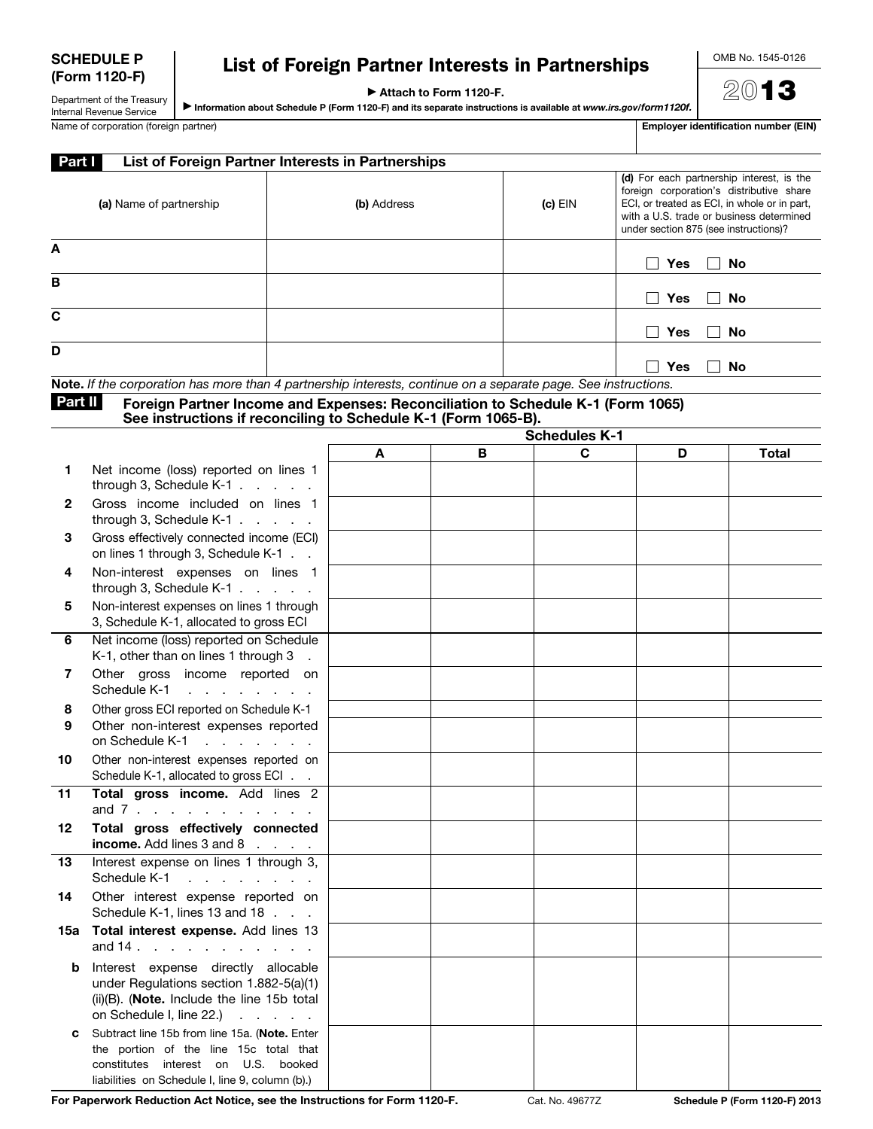| <b>SCHEDULE P</b> |
|-------------------|
| (Form 1120-F)     |

## List of Foreign Partner Interests in Partnerships

▶ Attach to Form 1120-F.

Department of the Treasury ▶ Information about Schedule P (Form 1120-F) and its separate instructions is available at *www.irs.gov/form1120f.* 2013

| Internal Revenue Service           | <b>►</b> In |
|------------------------------------|-------------|
| Name of corporation (foreign partr |             |

| Name of corporation (foreign partner) | Employer identification number (EIN) |
|---------------------------------------|--------------------------------------|
|                                       |                                      |

| Part I<br>List of Foreign Partner Interests in Partnerships                                                        |             |           |                                                                                                                                                                                                                            |  |
|--------------------------------------------------------------------------------------------------------------------|-------------|-----------|----------------------------------------------------------------------------------------------------------------------------------------------------------------------------------------------------------------------------|--|
| (a) Name of partnership                                                                                            | (b) Address | $(c)$ EIN | (d) For each partnership interest, is the<br>foreign corporation's distributive share<br>ECI, or treated as ECI, in whole or in part,<br>with a U.S. trade or business determined<br>under section 875 (see instructions)? |  |
| A                                                                                                                  |             |           | <b>Yes</b><br><b>No</b>                                                                                                                                                                                                    |  |
| в                                                                                                                  |             |           | <b>Yes</b><br>No                                                                                                                                                                                                           |  |
| C                                                                                                                  |             |           | <b>Yes</b><br>No                                                                                                                                                                                                           |  |
| D<br>Note If the corporation has mare than A partnership intersects, continue an a separate page. Cas instructions |             |           | <b>Yes</b><br>No                                                                                                                                                                                                           |  |

Note. *If the corporation has more than 4 partnership interests, continue on a separate page. See instructions.*

Part II Foreign Partner Income and Expenses: Reconciliation to Schedule K-1 (Form 1065) See instructions if reconciling to Schedule K-1 (Form 1065-B).

|              |                                                                                                                                                                                          | <b>Schedules K-1</b> |   |   |   |              |
|--------------|------------------------------------------------------------------------------------------------------------------------------------------------------------------------------------------|----------------------|---|---|---|--------------|
|              |                                                                                                                                                                                          | A                    | B | C | D | <b>Total</b> |
| 1            | Net income (loss) reported on lines 1<br>through 3, Schedule $K-1$ .                                                                                                                     |                      |   |   |   |              |
| $\mathbf{2}$ | Gross income included on lines 1<br>through 3, Schedule K-1                                                                                                                              |                      |   |   |   |              |
| 3            | Gross effectively connected income (ECI)<br>on lines 1 through 3, Schedule K-1                                                                                                           |                      |   |   |   |              |
| 4            | Non-interest expenses on lines 1<br>through 3, Schedule K-1                                                                                                                              |                      |   |   |   |              |
| 5            | Non-interest expenses on lines 1 through<br>3, Schedule K-1, allocated to gross ECI                                                                                                      |                      |   |   |   |              |
| 6            | Net income (loss) reported on Schedule<br>K-1, other than on lines 1 through 3                                                                                                           |                      |   |   |   |              |
| 7            | Other gross income reported on<br>Schedule K-1<br>and the contract of the contract of                                                                                                    |                      |   |   |   |              |
| 8<br>9       | Other gross ECI reported on Schedule K-1<br>Other non-interest expenses reported<br>on Schedule K-1<br>and the contract of the contract of                                               |                      |   |   |   |              |
| 10           | Other non-interest expenses reported on<br>Schedule K-1, allocated to gross ECI                                                                                                          |                      |   |   |   |              |
| 11           | Total gross income. Add lines 2<br>and $7 \cdot \cdot \cdot \cdot \cdot \cdot \cdot \cdot \cdot \cdot \cdot$                                                                             |                      |   |   |   |              |
| 12           | Total gross effectively connected<br>income. Add lines 3 and 8                                                                                                                           |                      |   |   |   |              |
| 13           | Interest expense on lines 1 through 3,<br>Schedule K-1<br>and a series of the con-                                                                                                       |                      |   |   |   |              |
| 14           | Other interest expense reported on<br>Schedule K-1, lines 13 and 18                                                                                                                      |                      |   |   |   |              |
| 15а          | Total interest expense. Add lines 13<br>and $14 \cdot \cdot \cdot \cdot \cdot \cdot$                                                                                                     |                      |   |   |   |              |
| b            | Interest expense directly allocable<br>under Regulations section 1.882-5(a)(1)<br>$(ii)(B)$ . ( <b>Note.</b> Include the line 15b total<br>on Schedule I, line $22.$ ) $\ldots$ $\ldots$ |                      |   |   |   |              |
| C            | Subtract line 15b from line 15a. (Note. Enter<br>the portion of the line 15c total that<br>constitutes interest on U.S. booked<br>liabilities on Schedule I, line 9, column (b).)        |                      |   |   |   |              |